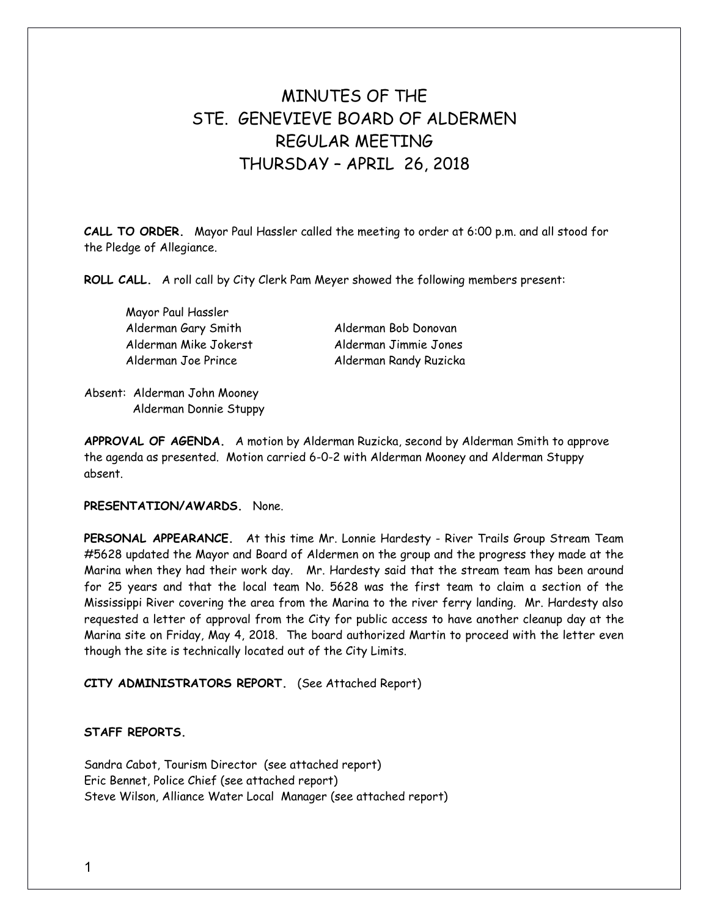# MINUTES OF THE STE GENEVIEVE BOARD OF ALDERMEN REGULAR MEETING THURSDAY – APRIL 26, 2018

**CALL TO ORDER.** Mayor Paul Hassler called the meeting to order at 6:00 p.m. and all stood for the Pledge of Allegiance.

**ROLL CALL.** A roll call by City Clerk Pam Meyer showed the following members present:

Mayor Paul Hassler Alderman Gary Smith Alderman Bob Donovan Alderman Mike Jokerst Alderman Jimmie Jones

Alderman Joe Prince Alderman Randy Ruzicka

Absent: Alderman John Mooney Alderman Donnie Stuppy

**APPROVAL OF AGENDA.** A motion by Alderman Ruzicka, second by Alderman Smith to approve the agenda as presented. Motion carried 6-0-2 with Alderman Mooney and Alderman Stuppy absent.

## **PRESENTATION/AWARDS.** None.

**PERSONAL APPEARANCE.** At this time Mr. Lonnie Hardesty - River Trails Group Stream Team #5628 updated the Mayor and Board of Aldermen on the group and the progress they made at the Marina when they had their work day. Mr. Hardesty said that the stream team has been around for 25 years and that the local team No. 5628 was the first team to claim a section of the Mississippi River covering the area from the Marina to the river ferry landing. Mr. Hardesty also requested a letter of approval from the City for public access to have another cleanup day at the Marina site on Friday, May 4, 2018. The board authorized Martin to proceed with the letter even though the site is technically located out of the City Limits.

**CITY ADMINISTRATORS REPORT.** (See Attached Report)

## **STAFF REPORTS.**

Sandra Cabot, Tourism Director (see attached report) Eric Bennet, Police Chief (see attached report) Steve Wilson, Alliance Water Local Manager (see attached report)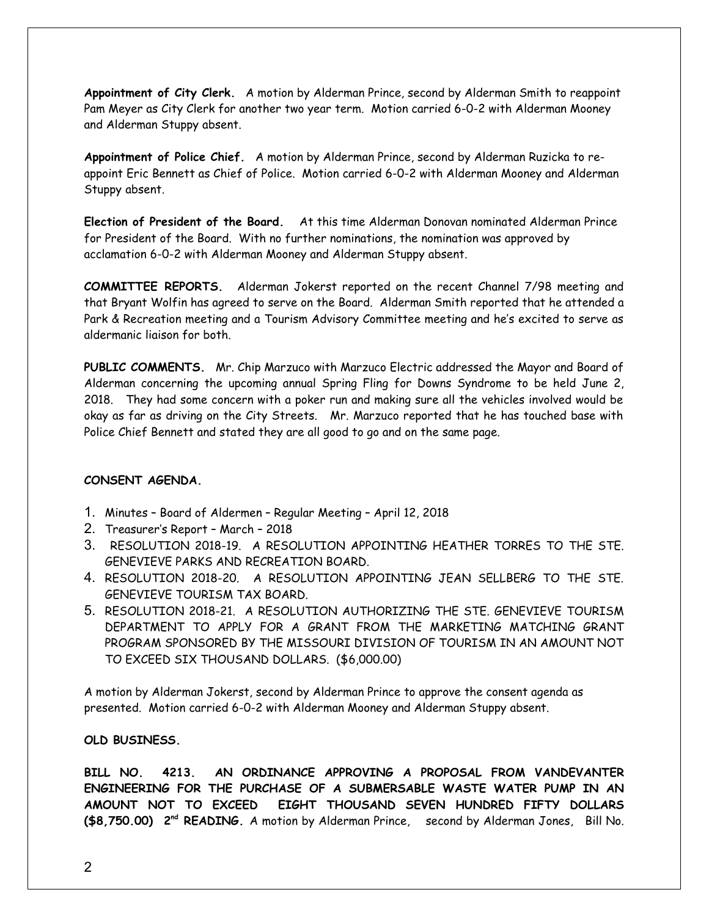**Appointment of City Clerk.** A motion by Alderman Prince, second by Alderman Smith to reappoint Pam Meyer as City Clerk for another two year term. Motion carried 6-0-2 with Alderman Mooney and Alderman Stuppy absent.

**Appointment of Police Chief.** A motion by Alderman Prince, second by Alderman Ruzicka to reappoint Eric Bennett as Chief of Police. Motion carried 6-0-2 with Alderman Mooney and Alderman Stuppy absent.

**Election of President of the Board.** At this time Alderman Donovan nominated Alderman Prince for President of the Board. With no further nominations, the nomination was approved by acclamation 6-0-2 with Alderman Mooney and Alderman Stuppy absent.

**COMMITTEE REPORTS.** Alderman Jokerst reported on the recent Channel 7/98 meeting and that Bryant Wolfin has agreed to serve on the Board. Alderman Smith reported that he attended a Park & Recreation meeting and a Tourism Advisory Committee meeting and he's excited to serve as aldermanic liaison for both.

**PUBLIC COMMENTS.** Mr. Chip Marzuco with Marzuco Electric addressed the Mayor and Board of Alderman concerning the upcoming annual Spring Fling for Downs Syndrome to be held June 2, 2018. They had some concern with a poker run and making sure all the vehicles involved would be okay as far as driving on the City Streets. Mr. Marzuco reported that he has touched base with Police Chief Bennett and stated they are all good to go and on the same page.

### **CONSENT AGENDA.**

- 1. Minutes Board of Aldermen Regular Meeting April 12, 2018
- 2. Treasurer's Report March 2018
- 3. RESOLUTION 2018-19. A RESOLUTION APPOINTING HEATHER TORRES TO THE STE. GENEVIEVE PARKS AND RECREATION BOARD.
- 4. RESOLUTION 2018-20. A RESOLUTION APPOINTING JEAN SELLBERG TO THE STE. GENEVIEVE TOURISM TAX BOARD.
- 5. RESOLUTION 2018-21. A RESOLUTION AUTHORIZING THE STE. GENEVIEVE TOURISM DEPARTMENT TO APPLY FOR A GRANT FROM THE MARKETING MATCHING GRANT PROGRAM SPONSORED BY THE MISSOURI DIVISION OF TOURISM IN AN AMOUNT NOT TO EXCEED SIX THOUSAND DOLLARS. (\$6,000.00)

A motion by Alderman Jokerst, second by Alderman Prince to approve the consent agenda as presented. Motion carried 6-0-2 with Alderman Mooney and Alderman Stuppy absent.

### **OLD BUSINESS.**

**BILL NO. 4213. AN ORDINANCE APPROVING A PROPOSAL FROM VANDEVANTER ENGINEERING FOR THE PURCHASE OF A SUBMERSABLE WASTE WATER PUMP IN AN AMOUNT NOT TO EXCEED EIGHT THOUSAND SEVEN HUNDRED FIFTY DOLLARS (\$8,750.00) 2 nd READING.** A motion by Alderman Prince, second by Alderman Jones, Bill No.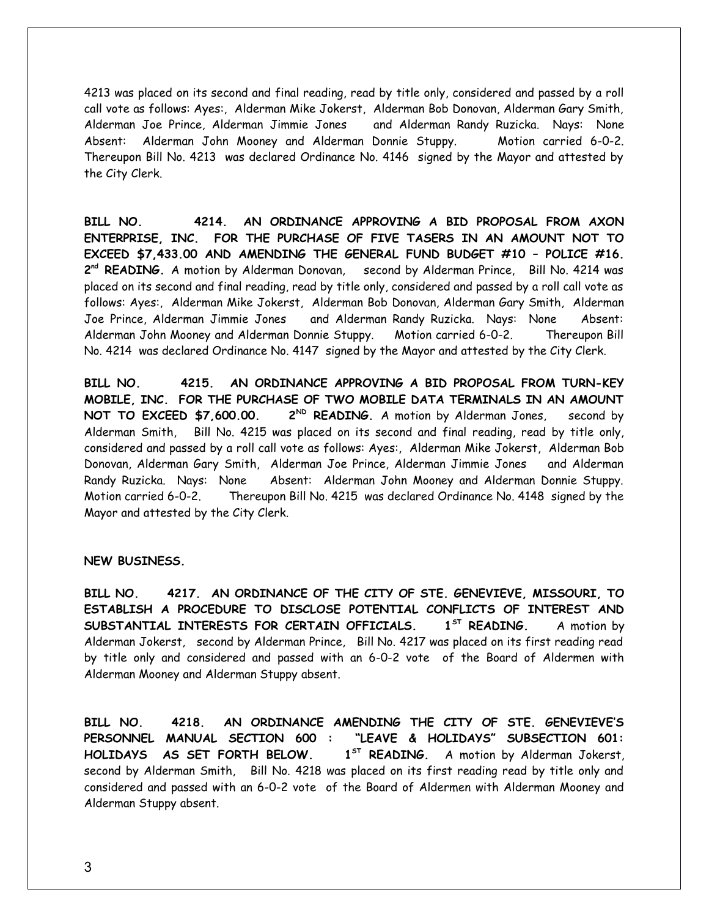4213 was placed on its second and final reading, read by title only, considered and passed by a roll call vote as follows: Ayes:, Alderman Mike Jokerst, Alderman Bob Donovan, Alderman Gary Smith, Alderman Joe Prince, Alderman Jimmie Jones and Alderman Randy Ruzicka. Nays: None Absent: Alderman John Mooney and Alderman Donnie Stuppy. Motion carried 6-0-2. Thereupon Bill No. 4213 was declared Ordinance No. 4146 signed by the Mayor and attested by the City Clerk.

**BILL NO. 4214. AN ORDINANCE APPROVING A BID PROPOSAL FROM AXON ENTERPRISE, INC. FOR THE PURCHASE OF FIVE TASERS IN AN AMOUNT NOT TO EXCEED \$7,433.00 AND AMENDING THE GENERAL FUND BUDGET #10 – POLICE #16.** 2<sup>nd</sup> READING. A motion by Alderman Donovan, second by Alderman Prince, Bill No. 4214 was placed on its second and final reading, read by title only, considered and passed by a roll call vote as follows: Ayes:, Alderman Mike Jokerst, Alderman Bob Donovan, Alderman Gary Smith, Alderman Joe Prince, Alderman Jimmie Jones and Alderman Randy Ruzicka. Nays: None Absent: Alderman John Mooney and Alderman Donnie Stuppy. Motion carried 6-0-2. Thereupon Bill No. 4214 was declared Ordinance No. 4147 signed by the Mayor and attested by the City Clerk.

**BILL NO. 4215. AN ORDINANCE APPROVING A BID PROPOSAL FROM TURN-KEY MOBILE, INC. FOR THE PURCHASE OF TWO MOBILE DATA TERMINALS IN AN AMOUNT** NOT TO EXCEED \$7,600.00. 2<sup>ND</sup> READING. A motion by Alderman Jones, second by Alderman Smith, Bill No. 4215 was placed on its second and final reading, read by title only, considered and passed by a roll call vote as follows: Ayes:, Alderman Mike Jokerst, Alderman Bob Donovan, Alderman Gary Smith, Alderman Joe Prince, Alderman Jimmie Jones and Alderman Randy Ruzicka. Nays: None Absent: Alderman John Mooney and Alderman Donnie Stuppy. Motion carried 6-0-2. Thereupon Bill No. 4215 was declared Ordinance No. 4148 signed by the Mayor and attested by the City Clerk.

#### **NEW BUSINESS.**

**BILL NO. 4217. AN ORDINANCE OF THE CITY OF STE. GENEVIEVE, MISSOURI, TO ESTABLISH A PROCEDURE TO DISCLOSE POTENTIAL CONFLICTS OF INTEREST AND SUBSTANTIAL INTERESTS FOR CERTAIN OFFICIALS. 1ST READING.** A motion by Alderman Jokerst, second by Alderman Prince, Bill No. 4217 was placed on its first reading read by title only and considered and passed with an 6-0-2 vote of the Board of Aldermen with Alderman Mooney and Alderman Stuppy absent.

**BILL NO. 4218. AN ORDINANCE AMENDING THE CITY OF STE. GENEVIEVE'S PERSONNEL MANUAL SECTION 600 : "LEAVE & HOLIDAYS" SUBSECTION 601: HOLIDAYS AS SET FORTH BELOW. 1ST READING.** A motion by Alderman Jokerst, second by Alderman Smith, Bill No. 4218 was placed on its first reading read by title only and considered and passed with an 6-0-2 vote of the Board of Aldermen with Alderman Mooney and Alderman Stuppy absent.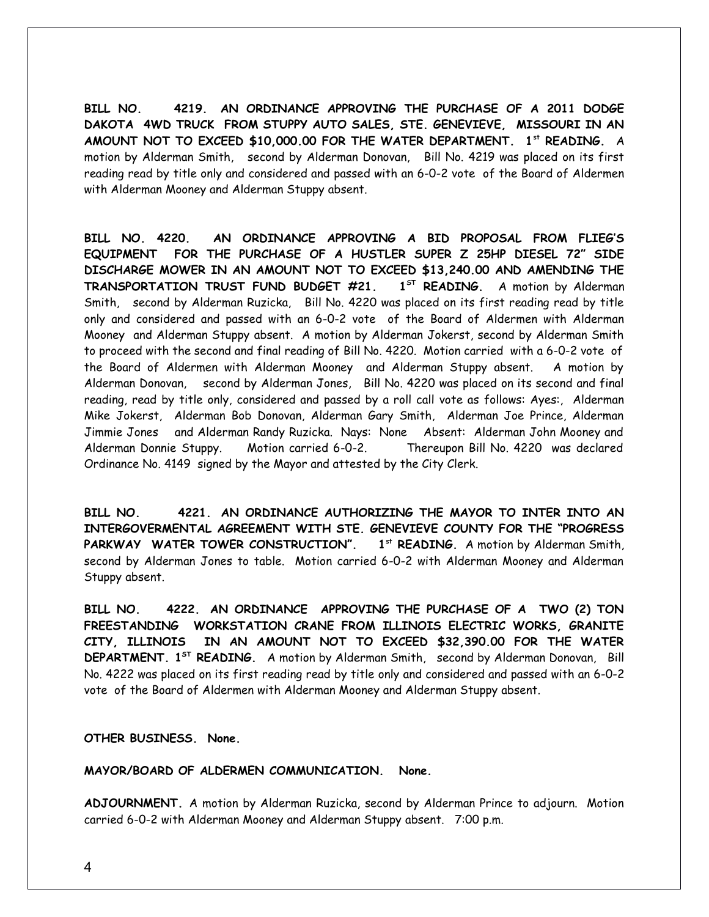**BILL NO. 4219. AN ORDINANCE APPROVING THE PURCHASE OF A 2011 DODGE DAKOTA 4WD TRUCK FROM STUPPY AUTO SALES, STE. GENEVIEVE, MISSOURI IN AN AMOUNT NOT TO EXCEED \$10,000.00 FOR THE WATER DEPARTMENT. 1st READING.** A motion by Alderman Smith, second by Alderman Donovan, Bill No. 4219 was placed on its first reading read by title only and considered and passed with an 6-0-2 vote of the Board of Aldermen with Alderman Mooney and Alderman Stuppy absent.

**BILL NO. 4220. AN ORDINANCE APPROVING A BID PROPOSAL FROM FLIEG'S EQUIPMENT FOR THE PURCHASE OF A HUSTLER SUPER Z 25HP DIESEL 72" SIDE DISCHARGE MOWER IN AN AMOUNT NOT TO EXCEED \$13,240.00 AND AMENDING THE TRANSPORTATION TRUST FUND BUDGET #21. 1ST READING.** A motion by Alderman Smith, second by Alderman Ruzicka, Bill No. 4220 was placed on its first reading read by title only and considered and passed with an 6-0-2 vote of the Board of Aldermen with Alderman Mooney and Alderman Stuppy absent. A motion by Alderman Jokerst, second by Alderman Smith to proceed with the second and final reading of Bill No. 4220. Motion carried with a 6-0-2 vote of the Board of Aldermen with Alderman Mooney and Alderman Stuppy absent. A motion by Alderman Donovan, second by Alderman Jones, Bill No. 4220 was placed on its second and final reading, read by title only, considered and passed by a roll call vote as follows: Ayes:, Alderman Mike Jokerst, Alderman Bob Donovan, Alderman Gary Smith, Alderman Joe Prince, Alderman Jimmie Jones and Alderman Randy Ruzicka. Nays: None Absent: Alderman John Mooney and Alderman Donnie Stuppy. Motion carried 6-0-2. Thereupon Bill No. 4220 was declared Ordinance No. 4149 signed by the Mayor and attested by the City Clerk.

**BILL NO. 4221. AN ORDINANCE AUTHORIZING THE MAYOR TO INTER INTO AN INTERGOVERMENTAL AGREEMENT WITH STE. GENEVIEVE COUNTY FOR THE "PROGRESS PARKWAY WATER TOWER CONSTRUCTION". 1st READING.** A motion by Alderman Smith, second by Alderman Jones to table. Motion carried 6-0-2 with Alderman Mooney and Alderman Stuppy absent.

**BILL NO. 4222. AN ORDINANCE APPROVING THE PURCHASE OF A TWO (2) TON FREESTANDING WORKSTATION CRANE FROM ILLINOIS ELECTRIC WORKS, GRANITE CITY, ILLINOIS IN AN AMOUNT NOT TO EXCEED \$32,390.00 FOR THE WATER DEPARTMENT. 1ST READING.** A motion by Alderman Smith, second by Alderman Donovan, Bill No. 4222 was placed on its first reading read by title only and considered and passed with an 6-0-2 vote of the Board of Aldermen with Alderman Mooney and Alderman Stuppy absent.

**OTHER BUSINESS. None.** 

**MAYOR/BOARD OF ALDERMEN COMMUNICATION. None.** 

**ADJOURNMENT.** A motion by Alderman Ruzicka, second by Alderman Prince to adjourn. Motion carried 6-0-2 with Alderman Mooney and Alderman Stuppy absent. 7:00 p.m.